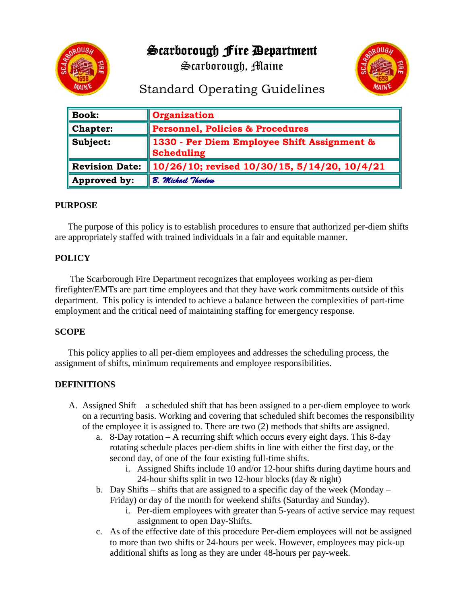Scarborough Fire Department



Scarborough, Maine



# Standard Operating Guidelines

| <b>Book:</b>          | Organization                                              |
|-----------------------|-----------------------------------------------------------|
| <b>Chapter:</b>       | <b>Personnel, Policies &amp; Procedures</b>               |
| Subject:              | 1330 - Per Diem Employee Shift Assignment &<br>Scheduling |
| <b>Revision Date:</b> | $\ 10/26/10$ ; revised $10/30/15$ , 5/14/20, 10/4/21      |
| Approved by:          | B. Michael Thurlow                                        |

### **PURPOSE**

The purpose of this policy is to establish procedures to ensure that authorized per-diem shifts are appropriately staffed with trained individuals in a fair and equitable manner.

## **POLICY**

The Scarborough Fire Department recognizes that employees working as per-diem firefighter/EMTs are part time employees and that they have work commitments outside of this department. This policy is intended to achieve a balance between the complexities of part-time employment and the critical need of maintaining staffing for emergency response.

### **SCOPE**

This policy applies to all per-diem employees and addresses the scheduling process, the assignment of shifts, minimum requirements and employee responsibilities.

### **DEFINITIONS**

- A. Assigned Shift a scheduled shift that has been assigned to a per-diem employee to work on a recurring basis. Working and covering that scheduled shift becomes the responsibility of the employee it is assigned to. There are two (2) methods that shifts are assigned.
	- a. 8-Day rotation A recurring shift which occurs every eight days. This 8-day rotating schedule places per-diem shifts in line with either the first day, or the second day, of one of the four existing full-time shifts.
		- i. Assigned Shifts include 10 and/or 12-hour shifts during daytime hours and 24-hour shifts split in two 12-hour blocks (day & night)
	- b. Day Shifts shifts that are assigned to a specific day of the week (Monday Friday) or day of the month for weekend shifts (Saturday and Sunday).
		- i. Per-diem employees with greater than 5-years of active service may request assignment to open Day-Shifts.
	- c. As of the effective date of this procedure Per-diem employees will not be assigned to more than two shifts or 24-hours per week. However, employees may pick-up additional shifts as long as they are under 48-hours per pay-week.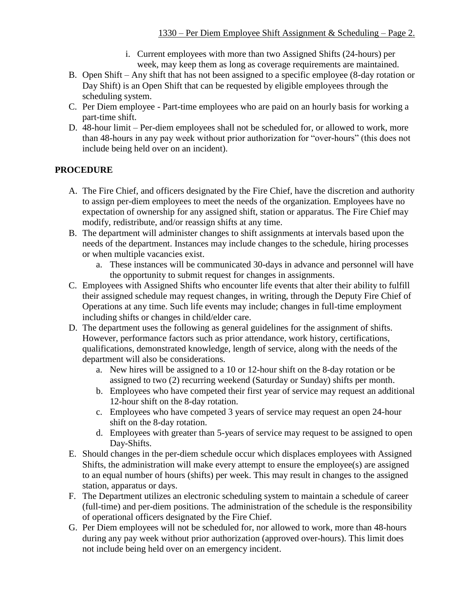- i. Current employees with more than two Assigned Shifts (24-hours) per week, may keep them as long as coverage requirements are maintained.
- B. Open Shift Any shift that has not been assigned to a specific employee (8-day rotation or Day Shift) is an Open Shift that can be requested by eligible employees through the scheduling system.
- C. Per Diem employee Part-time employees who are paid on an hourly basis for working a part-time shift.
- D. 48-hour limit Per-diem employees shall not be scheduled for, or allowed to work, more than 48-hours in any pay week without prior authorization for "over-hours" (this does not include being held over on an incident).

### **PROCEDURE**

- A. The Fire Chief, and officers designated by the Fire Chief, have the discretion and authority to assign per-diem employees to meet the needs of the organization. Employees have no expectation of ownership for any assigned shift, station or apparatus. The Fire Chief may modify, redistribute, and/or reassign shifts at any time.
- B. The department will administer changes to shift assignments at intervals based upon the needs of the department. Instances may include changes to the schedule, hiring processes or when multiple vacancies exist.
	- a. These instances will be communicated 30-days in advance and personnel will have the opportunity to submit request for changes in assignments.
- C. Employees with Assigned Shifts who encounter life events that alter their ability to fulfill their assigned schedule may request changes, in writing, through the Deputy Fire Chief of Operations at any time. Such life events may include; changes in full-time employment including shifts or changes in child/elder care.
- D. The department uses the following as general guidelines for the assignment of shifts. However, performance factors such as prior attendance, work history, certifications, qualifications, demonstrated knowledge, length of service, along with the needs of the department will also be considerations.
	- a. New hires will be assigned to a 10 or 12-hour shift on the 8-day rotation or be assigned to two (2) recurring weekend (Saturday or Sunday) shifts per month.
	- b. Employees who have competed their first year of service may request an additional 12-hour shift on the 8-day rotation.
	- c. Employees who have competed 3 years of service may request an open 24-hour shift on the 8-day rotation.
	- d. Employees with greater than 5-years of service may request to be assigned to open Day-Shifts.
- E. Should changes in the per-diem schedule occur which displaces employees with Assigned Shifts, the administration will make every attempt to ensure the employee(s) are assigned to an equal number of hours (shifts) per week. This may result in changes to the assigned station, apparatus or days.
- F. The Department utilizes an electronic scheduling system to maintain a schedule of career (full-time) and per-diem positions. The administration of the schedule is the responsibility of operational officers designated by the Fire Chief.
- G. Per Diem employees will not be scheduled for, nor allowed to work, more than 48-hours during any pay week without prior authorization (approved over-hours). This limit does not include being held over on an emergency incident.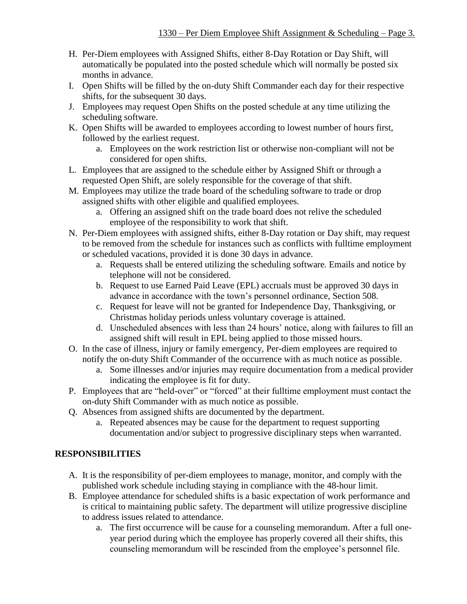- H. Per-Diem employees with Assigned Shifts, either 8-Day Rotation or Day Shift, will automatically be populated into the posted schedule which will normally be posted six months in advance.
- I. Open Shifts will be filled by the on-duty Shift Commander each day for their respective shifts, for the subsequent 30 days.
- J. Employees may request Open Shifts on the posted schedule at any time utilizing the scheduling software.
- K. Open Shifts will be awarded to employees according to lowest number of hours first, followed by the earliest request.
	- a. Employees on the work restriction list or otherwise non-compliant will not be considered for open shifts.
- L. Employees that are assigned to the schedule either by Assigned Shift or through a requested Open Shift, are solely responsible for the coverage of that shift.
- M. Employees may utilize the trade board of the scheduling software to trade or drop assigned shifts with other eligible and qualified employees.
	- a. Offering an assigned shift on the trade board does not relive the scheduled employee of the responsibility to work that shift.
- N. Per-Diem employees with assigned shifts, either 8-Day rotation or Day shift, may request to be removed from the schedule for instances such as conflicts with fulltime employment or scheduled vacations, provided it is done 30 days in advance.
	- a. Requests shall be entered utilizing the scheduling software. Emails and notice by telephone will not be considered.
	- b. Request to use Earned Paid Leave (EPL) accruals must be approved 30 days in advance in accordance with the town's personnel ordinance, Section 508.
	- c. Request for leave will not be granted for Independence Day, Thanksgiving, or Christmas holiday periods unless voluntary coverage is attained.
	- d. Unscheduled absences with less than 24 hours' notice, along with failures to fill an assigned shift will result in EPL being applied to those missed hours.
- O. In the case of illness, injury or family emergency, Per-diem employees are required to notify the on-duty Shift Commander of the occurrence with as much notice as possible.
	- a. Some illnesses and/or injuries may require documentation from a medical provider indicating the employee is fit for duty.
- P. Employees that are "held-over" or "forced" at their fulltime employment must contact the on-duty Shift Commander with as much notice as possible.
- Q. Absences from assigned shifts are documented by the department.
	- a. Repeated absences may be cause for the department to request supporting documentation and/or subject to progressive disciplinary steps when warranted.

### **RESPONSIBILITIES**

- A. It is the responsibility of per-diem employees to manage, monitor, and comply with the published work schedule including staying in compliance with the 48-hour limit.
- B. Employee attendance for scheduled shifts is a basic expectation of work performance and is critical to maintaining public safety. The department will utilize progressive discipline to address issues related to attendance.
	- a. The first occurrence will be cause for a counseling memorandum. After a full oneyear period during which the employee has properly covered all their shifts, this counseling memorandum will be rescinded from the employee's personnel file.